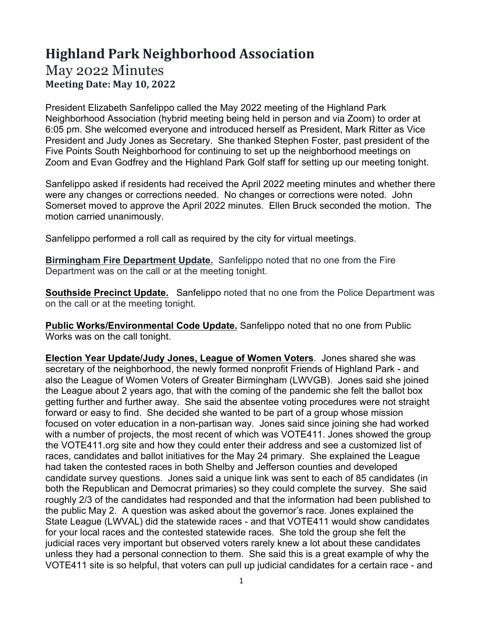## **Highland Park Neighborhood Association**

## May 2022 Minutes **Meeting Date: May 10, 2022**

President Elizabeth Sanfelippo called the May 2022 meeting of the Highland Park Neighborhood Association (hybrid meeting being held in person and via Zoom) to order at 6:05 pm. She welcomed everyone and introduced herself as President, Mark Ritter as Vice President and Judy Jones as Secretary. She thanked Stephen Foster, past president of the Five Points South Neighborhood for continuing to set up the neighborhood meetings on Zoom and Evan Godfrey and the Highland Park Golf staff for setting up our meeting tonight.

Sanfelippo asked if residents had received the April 2022 meeting minutes and whether there were any changes or corrections needed. No changes or corrections were noted. John Somerset moved to approve the April 2022 minutes. Ellen Bruck seconded the motion. The motion carried unanimously.

Sanfelippo performed a roll call as required by the city for virtual meetings.

**Birmingham Fire Department Update.** Sanfelippo noted that no one from the Fire Department was on the call or at the meeting tonight.

**Southside Precinct Update.** Sanfelippo noted that no one from the Police Department was on the call or at the meeting tonight.

**Public Works/Environmental Code Update.** Sanfelippo noted that no one from Public Works was on the call tonight.

**Election Year Update/Judy Jones, League of Women Voters**. Jones shared she was secretary of the neighborhood, the newly formed nonprofit Friends of Highland Park - and also the League of Women Voters of Greater Birmingham (LWVGB). Jones said she joined the League about 2 years ago, that with the coming of the pandemic she felt the ballot box getting further and further away. She said the absentee voting procedures were not straight forward or easy to find. She decided she wanted to be part of a group whose mission focused on voter education in a non-partisan way. Jones said since joining she had worked with a number of projects, the most recent of which was VOTE411. Jones showed the group the VOTE411.org site and how they could enter their address and see a customized list of races, candidates and ballot initiatives for the May 24 primary. She explained the League had taken the contested races in both Shelby and Jefferson counties and developed candidate survey questions. Jones said a unique link was sent to each of 85 candidates (in both the Republican and Democrat primaries) so they could complete the survey. She said roughly 2/3 of the candidates had responded and that the information had been published to the public May 2. A question was asked about the governor's race. Jones explained the State League (LWVAL) did the statewide races - and that VOTE411 would show candidates for your local races and the contested statewide races. She told the group she felt the judicial races very important but observed voters rarely knew a lot about these candidates unless they had a personal connection to them. She said this is a great example of why the VOTE411 site is so helpful, that voters can pull up judicial candidates for a certain race - and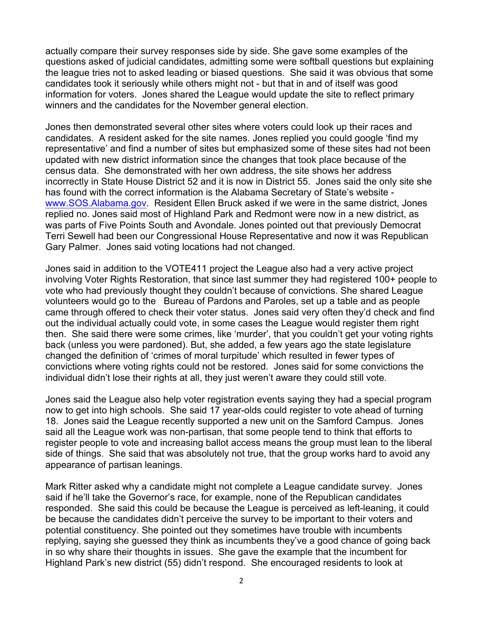actually compare their survey responses side by side. She gave some examples of the questions asked of judicial candidates, admitting some were softball questions but explaining the league tries not to asked leading or biased questions. She said it was obvious that some candidates took it seriously while others might not - but that in and of itself was good information for voters. Jones shared the League would update the site to reflect primary winners and the candidates for the November general election.

Jones then demonstrated several other sites where voters could look up their races and candidates. A resident asked for the site names. Jones replied you could google 'find my representative' and find a number of sites but emphasized some of these sites had not been updated with new district information since the changes that took place because of the census data. She demonstrated with her own address, the site shows her address incorrectly in State House District 52 and it is now in District 55. Jones said the only site she has found with the correct information is the Alabama Secretary of State's website www.SOS.Alabama.gov. Resident Ellen Bruck asked if we were in the same district, Jones replied no. Jones said most of Highland Park and Redmont were now in a new district, as was parts of Five Points South and Avondale. Jones pointed out that previously Democrat Terri Sewell had been our Congressional House Representative and now it was Republican Gary Palmer. Jones said voting locations had not changed.

Jones said in addition to the VOTE411 project the League also had a very active project involving Voter Rights Restoration, that since last summer they had registered 100+ people to vote who had previously thought they couldn't because of convictions. She shared League volunteers would go to the Bureau of Pardons and Paroles, set up a table and as people came through offered to check their voter status. Jones said very often they'd check and find out the individual actually could vote, in some cases the League would register them right then. She said there were some crimes, like 'murder', that you couldn't get your voting rights back (unless you were pardoned). But, she added, a few years ago the state legislature changed the definition of 'crimes of moral turpitude' which resulted in fewer types of convictions where voting rights could not be restored. Jones said for some convictions the individual didn't lose their rights at all, they just weren't aware they could still vote.

Jones said the League also help voter registration events saying they had a special program now to get into high schools. She said 17 year-olds could register to vote ahead of turning 18. Jones said the League recently supported a new unit on the Samford Campus. Jones said all the League work was non-partisan, that some people tend to think that efforts to register people to vote and increasing ballot access means the group must lean to the liberal side of things. She said that was absolutely not true, that the group works hard to avoid any appearance of partisan leanings.

Mark Ritter asked why a candidate might not complete a League candidate survey. Jones said if he'll take the Governor's race, for example, none of the Republican candidates responded. She said this could be because the League is perceived as left-leaning, it could be because the candidates didn't perceive the survey to be important to their voters and potential constituency. She pointed out they sometimes have trouble with incumbents replying, saying she guessed they think as incumbents they've a good chance of going back in so why share their thoughts in issues. She gave the example that the incumbent for Highland Park's new district (55) didn't respond. She encouraged residents to look at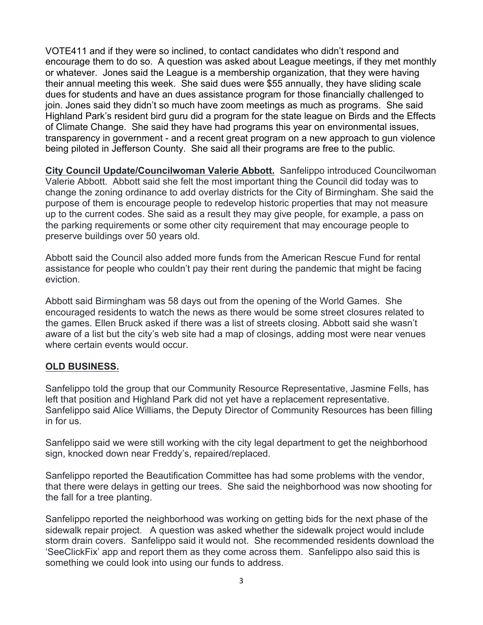VOTE411 and if they were so inclined, to contact candidates who didn't respond and encourage them to do so. A question was asked about League meetings, if they met monthly or whatever. Jones said the League is a membership organization, that they were having their annual meeting this week. She said dues were \$55 annually, they have sliding scale dues for students and have an dues assistance program for those financially challenged to join. Jones said they didn't so much have zoom meetings as much as programs. She said Highland Park's resident bird guru did a program for the state league on Birds and the Effects of Climate Change. She said they have had programs this year on environmental issues, transparency in government - and a recent great program on a new approach to gun violence being piloted in Jefferson County. She said all their programs are free to the public.

**City Council Update/Councilwoman Valerie Abbott.** Sanfelippo introduced Councilwoman Valerie Abbott. Abbott said she felt the most important thing the Council did today was to change the zoning ordinance to add overlay districts for the City of Birmingham. She said the purpose of them is encourage people to redevelop historic properties that may not measure up to the current codes. She said as a result they may give people, for example, a pass on the parking requirements or some other city requirement that may encourage people to preserve buildings over 50 years old.

Abbott said the Council also added more funds from the American Rescue Fund for rental assistance for people who couldn't pay their rent during the pandemic that might be facing eviction.

Abbott said Birmingham was 58 days out from the opening of the World Games. She encouraged residents to watch the news as there would be some street closures related to the games. Ellen Bruck asked if there was a list of streets closing. Abbott said she wasn't aware of a list but the city's web site had a map of closings, adding most were near venues where certain events would occur.

## **OLD BUSINESS.**

Sanfelippo told the group that our Community Resource Representative, Jasmine Fells, has left that position and Highland Park did not yet have a replacement representative. Sanfelippo said Alice Williams, the Deputy Director of Community Resources has been filling in for us.

Sanfelippo said we were still working with the city legal department to get the neighborhood sign, knocked down near Freddy's, repaired/replaced.

Sanfelippo reported the Beautification Committee has had some problems with the vendor, that there were delays in getting our trees. She said the neighborhood was now shooting for the fall for a tree planting.

Sanfelippo reported the neighborhood was working on getting bids for the next phase of the sidewalk repair project. A question was asked whether the sidewalk project would include storm drain covers. Sanfelippo said it would not. She recommended residents download the 'SeeClickFix' app and report them as they come across them. Sanfelippo also said this is something we could look into using our funds to address.